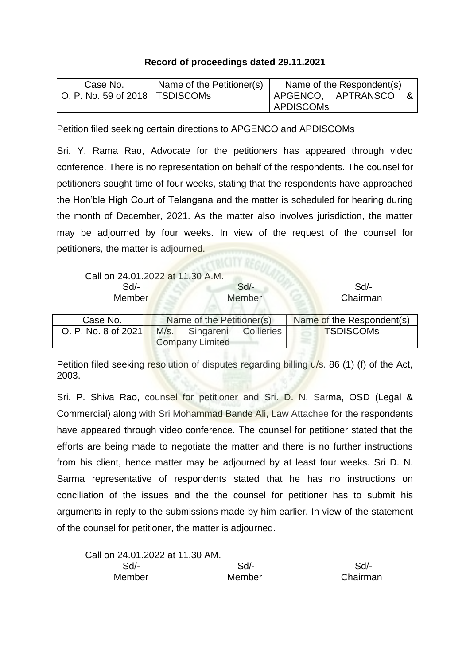## **Record of proceedings dated 29.11.2021**

| Case No.                         | Name of the Petitioner(s) | Name of the Respondent(s) |
|----------------------------------|---------------------------|---------------------------|
| O. P. No. 59 of 2018   TSDISCOMs |                           | APGENCO, APTRANSCO        |
|                                  |                           | <b>APDISCOMS</b>          |

Petition filed seeking certain directions to APGENCO and APDISCOMs

Sri. Y. Rama Rao, Advocate for the petitioners has appeared through video conference. There is no representation on behalf of the respondents. The counsel for petitioners sought time of four weeks, stating that the respondents have approached the Hon'ble High Court of Telangana and the matter is scheduled for hearing during the month of December, 2021. As the matter also involves jurisdiction, the matter may be adjourned by four weeks. In view of the request of the counsel for petitioners, the matter is adjourned.

| Call on 24.01.2022 at 11.30 A.M. |                           |                        |                      |                           |
|----------------------------------|---------------------------|------------------------|----------------------|---------------------------|
| $Sd$ -                           |                           |                        | $Sd$ -               | $Sd$ -                    |
| Member                           |                           |                        | Member               | Chairman                  |
|                                  |                           |                        |                      |                           |
| Case No.                         | Name of the Petitioner(s) |                        |                      | Name of the Respondent(s) |
| O. P. No. 8 of 2021              | M/s.                      | <b>Company Limited</b> | Singareni Collieries | <b>TSDISCOMs</b>          |

Petition filed seeking resolution of disputes regarding billing u/s. 86 (1) (f) of the Act, 2003.

Sri. P. Shiva Rao, counsel for petitioner and Sri. D. N. Sarma, OSD (Legal & Commercial) along with Sri Mohammad Bande Ali, Law Attachee for the respondents have appeared through video conference. The counsel for petitioner stated that the efforts are being made to negotiate the matter and there is no further instructions from his client, hence matter may be adjourned by at least four weeks. Sri D. N. Sarma representative of respondents stated that he has no instructions on conciliation of the issues and the the counsel for petitioner has to submit his arguments in reply to the submissions made by him earlier. In view of the statement of the counsel for petitioner, the matter is adjourned.

| Call on 24.01.2022 at 11.30 AM. |        |          |
|---------------------------------|--------|----------|
| Sd/-                            | $Sd$ - | Sd       |
| Member                          | Member | Chairman |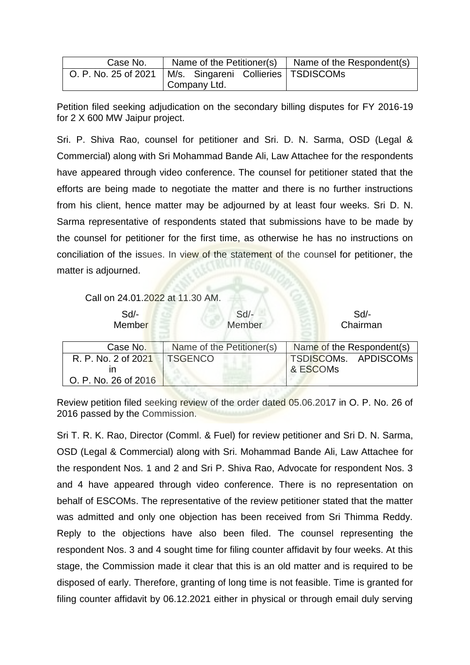| Case No.                                                     |              |  |  | Name of the Petitioner(s) $\vert$ Name of the Respondent(s) |
|--------------------------------------------------------------|--------------|--|--|-------------------------------------------------------------|
| O. P. No. 25 of 2021   M/s. Singareni Collieries   TSDISCOMs |              |  |  |                                                             |
|                                                              | Company Ltd. |  |  |                                                             |

Petition filed seeking adjudication on the secondary billing disputes for FY 2016-19 for 2 X 600 MW Jaipur project.

Sri. P. Shiva Rao, counsel for petitioner and Sri. D. N. Sarma, OSD (Legal & Commercial) along with Sri Mohammad Bande Ali, Law Attachee for the respondents have appeared through video conference. The counsel for petitioner stated that the efforts are being made to negotiate the matter and there is no further instructions from his client, hence matter may be adjourned by at least four weeks. Sri D. N. Sarma representative of respondents stated that submissions have to be made by the counsel for petitioner for the first time, as otherwise he has no instructions on conciliation of the issues. In view of the statement of the counsel for petitioner, the matter is adjourned.

Call on 24.01.2022 at 11.30 AM.

| Sd<br>Member         | $Sd$ -<br>Member          | Sd<br>Chairman            |
|----------------------|---------------------------|---------------------------|
| Case No.             | Name of the Petitioner(s) | Name of the Respondent(s) |
| R. P. No. 2 of 2021  | <b>TSGENCO</b>            | TSDISCOMs. APDISCOMs      |
|                      |                           | & ESCOM <sub>s</sub>      |
| O. P. No. 26 of 2016 |                           |                           |

Review petition filed seeking review of the order dated 05.06.2017 in O. P. No. 26 of 2016 passed by the Commission.

Sri T. R. K. Rao, Director (Comml. & Fuel) for review petitioner and Sri D. N. Sarma, OSD (Legal & Commercial) along with Sri. Mohammad Bande Ali, Law Attachee for the respondent Nos. 1 and 2 and Sri P. Shiva Rao, Advocate for respondent Nos. 3 and 4 have appeared through video conference. There is no representation on behalf of ESCOMs. The representative of the review petitioner stated that the matter was admitted and only one objection has been received from Sri Thimma Reddy. Reply to the objections have also been filed. The counsel representing the respondent Nos. 3 and 4 sought time for filing counter affidavit by four weeks. At this stage, the Commission made it clear that this is an old matter and is required to be disposed of early. Therefore, granting of long time is not feasible. Time is granted for filing counter affidavit by 06.12.2021 either in physical or through email duly serving